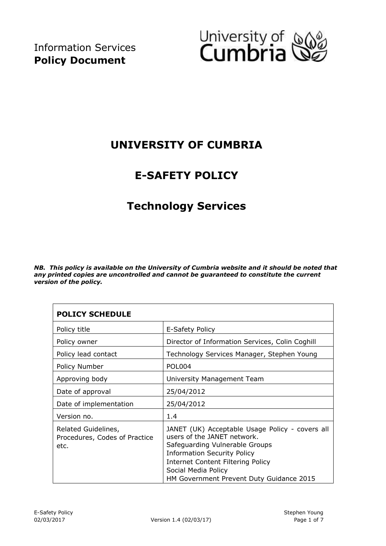

## **UNIVERSITY OF CUMBRIA**

## **E-SAFETY POLICY**

## **Technology Services**

*NB. This policy is available on the University of Cumbria website and it should be noted that any printed copies are uncontrolled and cannot be guaranteed to constitute the current version of the policy.* 

| <b>POLICY SCHEDULE</b>                                       |                                                                                                                                                                                                                                                                       |  |  |  |
|--------------------------------------------------------------|-----------------------------------------------------------------------------------------------------------------------------------------------------------------------------------------------------------------------------------------------------------------------|--|--|--|
| Policy title                                                 | E-Safety Policy                                                                                                                                                                                                                                                       |  |  |  |
| Policy owner                                                 | Director of Information Services, Colin Coghill                                                                                                                                                                                                                       |  |  |  |
| Policy lead contact                                          | Technology Services Manager, Stephen Young                                                                                                                                                                                                                            |  |  |  |
| Policy Number                                                | POL004                                                                                                                                                                                                                                                                |  |  |  |
| Approving body                                               | University Management Team                                                                                                                                                                                                                                            |  |  |  |
| Date of approval                                             | 25/04/2012                                                                                                                                                                                                                                                            |  |  |  |
| Date of implementation                                       | 25/04/2012                                                                                                                                                                                                                                                            |  |  |  |
| Version no.                                                  | 1.4                                                                                                                                                                                                                                                                   |  |  |  |
| Related Guidelines,<br>Procedures, Codes of Practice<br>etc. | JANET (UK) Acceptable Usage Policy - covers all<br>users of the JANET network.<br>Safeguarding Vulnerable Groups<br><b>Information Security Policy</b><br><b>Internet Content Filtering Policy</b><br>Social Media Policy<br>HM Government Prevent Duty Guidance 2015 |  |  |  |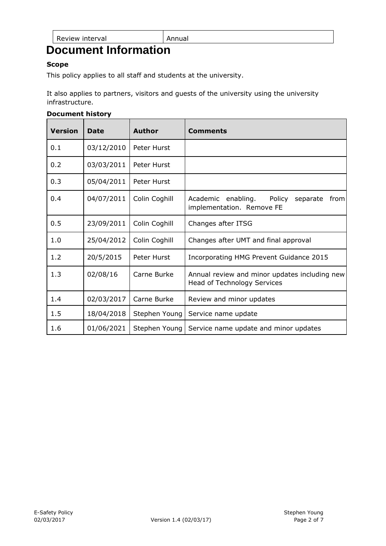Review interval **Annual** 

# **Document Information**

#### **Scope**

This policy applies to all staff and students at the university.

It also applies to partners, visitors and guests of the university using the university infrastructure.

#### **Document history**

| <b>Version</b> | Date       | Author        | <b>Comments</b>                                                                  |
|----------------|------------|---------------|----------------------------------------------------------------------------------|
| 0.1            | 03/12/2010 | Peter Hurst   |                                                                                  |
| 0.2            | 03/03/2011 | Peter Hurst   |                                                                                  |
| 0.3            | 05/04/2011 | Peter Hurst   |                                                                                  |
| 0.4            | 04/07/2011 | Colin Coghill | enabling.<br>Policy<br>Academic<br>separate<br>from<br>implementation. Remove FE |
| 0.5            | 23/09/2011 | Colin Coghill | Changes after ITSG                                                               |
| 1.0            | 25/04/2012 | Colin Coghill | Changes after UMT and final approval                                             |
| 1.2            | 20/5/2015  | Peter Hurst   | Incorporating HMG Prevent Guidance 2015                                          |
| 1.3            | 02/08/16   | Carne Burke   | Annual review and minor updates including new<br>Head of Technology Services     |
| 1.4            | 02/03/2017 | Carne Burke   | Review and minor updates                                                         |
| 1.5            | 18/04/2018 | Stephen Young | Service name update                                                              |
| 1.6            | 01/06/2021 | Stephen Young | Service name update and minor updates                                            |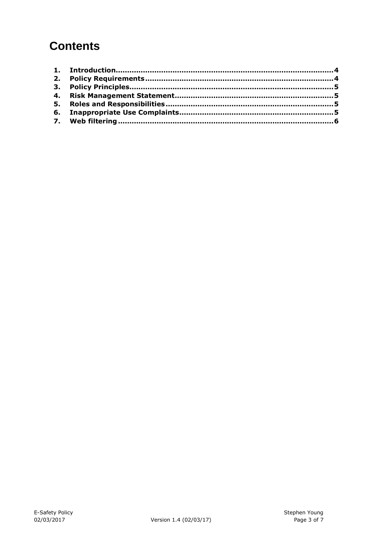# **Contents**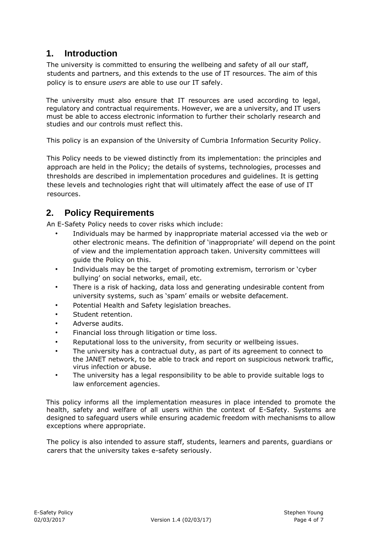#### <span id="page-3-0"></span>**1. Introduction**

The university is committed to ensuring the wellbeing and safety of all our staff, students and partners, and this extends to the use of IT resources. The aim of this policy is to ensure *users* are able to use our IT safely.

The university must also ensure that IT resources are used according to legal, regulatory and contractual requirements. However, we are a university, and IT users must be able to access electronic information to further their scholarly research and studies and our controls must reflect this.

This policy is an expansion of the University of Cumbria Information Security Policy.

This Policy needs to be viewed distinctly from its implementation: the principles and approach are held in the Policy; the details of systems, technologies, processes and thresholds are described in implementation procedures and guidelines. It is getting these levels and technologies right that will ultimately affect the ease of use of IT resources.

### <span id="page-3-1"></span>**2. Policy Requirements**

An E-Safety Policy needs to cover risks which include:

- Individuals may be harmed by inappropriate material accessed via the web or other electronic means. The definition of 'inappropriate' will depend on the point of view and the implementation approach taken. University committees will guide the Policy on this.
- Individuals may be the target of promoting extremism, terrorism or 'cyber bullying' on social networks, email, etc.
- There is a risk of hacking, data loss and generating undesirable content from university systems, such as 'spam' emails or website defacement.
- Potential Health and Safety legislation breaches.
- Student retention.
- Adverse audits.
- Financial loss through litigation or time loss.
- Reputational loss to the university, from security or wellbeing issues.
- The university has a contractual duty, as part of its agreement to connect to the JANET network, to be able to track and report on suspicious network traffic, virus infection or abuse.
- The university has a legal responsibility to be able to provide suitable logs to law enforcement agencies.

This policy informs all the implementation measures in place intended to promote the health, safety and welfare of all users within the context of E-Safety. Systems are designed to safeguard users while ensuring academic freedom with mechanisms to allow exceptions where appropriate.

The policy is also intended to assure staff, students, learners and parents, guardians or carers that the university takes e-safety seriously.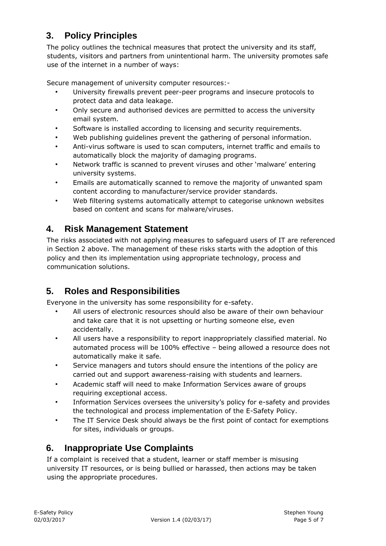### <span id="page-4-0"></span>**3. Policy Principles**

The policy outlines the technical measures that protect the university and its staff, students, visitors and partners from unintentional harm. The university promotes safe use of the internet in a number of ways:

Secure management of university computer resources:-

- University firewalls prevent peer-peer programs and insecure protocols to protect data and data leakage.
- Only secure and authorised devices are permitted to access the university email system.
- Software is installed according to licensing and security requirements.
- Web publishing guidelines prevent the gathering of personal information.
- Anti-virus software is used to scan computers, internet traffic and emails to automatically block the majority of damaging programs.
- Network traffic is scanned to prevent viruses and other 'malware' entering university systems.
- Emails are automatically scanned to remove the majority of unwanted spam content according to manufacturer/service provider standards.
- Web filtering systems automatically attempt to categorise unknown websites based on content and scans for malware/viruses.

#### <span id="page-4-1"></span>**4. Risk Management Statement**

The risks associated with not applying measures to safeguard users of IT are referenced in Section 2 above. The management of these risks starts with the adoption of this policy and then its implementation using appropriate technology, process and communication solutions.

#### <span id="page-4-2"></span>**5. Roles and Responsibilities**

Everyone in the university has some responsibility for e-safety.

- All users of electronic resources should also be aware of their own behaviour and take care that it is not upsetting or hurting someone else, even accidentally.
- All users have a responsibility to report inappropriately classified material. No automated process will be 100% effective – being allowed a resource does not automatically make it safe.
- Service managers and tutors should ensure the intentions of the policy are carried out and support awareness-raising with students and learners.
- Academic staff will need to make Information Services aware of groups requiring exceptional access.
- Information Services oversees the university's policy for e-safety and provides the technological and process implementation of the E-Safety Policy.
- The IT Service Desk should always be the first point of contact for exemptions for sites, individuals or groups.

#### <span id="page-4-3"></span>**6. Inappropriate Use Complaints**

If a complaint is received that a student, learner or staff member is misusing university IT resources, or is being bullied or harassed, then actions may be taken using the appropriate procedures.